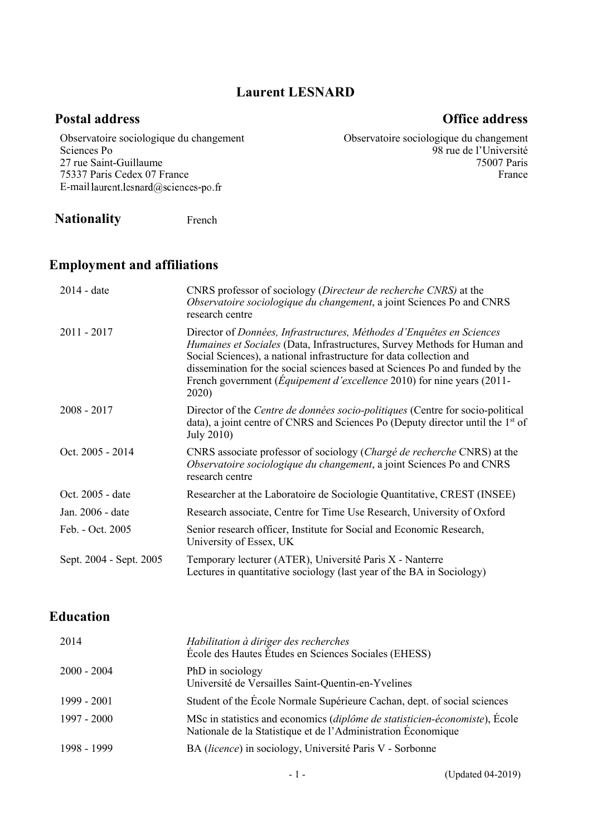#### **Laurent LESNARD**

#### **Postal address Office address**

98 rue de l'Université

75007 Paris France

Observatoire sociologique du changement

Observatoire sociologique du changement Sciences Po 27 rue Saint-Guillaume 75337 Paris Cedex 07 France E-mail laurent.lesnard@sciences-po.fr

**Nationality** French

### **Employment and affiliations**

| 2014 - date             | CNRS professor of sociology (Directeur de recherche CNRS) at the<br>Observatoire sociologique du changement, a joint Sciences Po and CNRS<br>research centre                                                                                                                                                                                                                                         |
|-------------------------|------------------------------------------------------------------------------------------------------------------------------------------------------------------------------------------------------------------------------------------------------------------------------------------------------------------------------------------------------------------------------------------------------|
| $2011 - 2017$           | Director of Données, Infrastructures, Méthodes d'Enquêtes en Sciences<br>Humaines et Sociales (Data, Infrastructures, Survey Methods for Human and<br>Social Sciences), a national infrastructure for data collection and<br>dissemination for the social sciences based at Sciences Po and funded by the<br>French government ( <i>Equipement d'excellence</i> 2010) for nine years (2011-<br>2020) |
| $2008 - 2017$           | Director of the Centre de données socio-politiques (Centre for socio-political<br>data), a joint centre of CNRS and Sciences Po (Deputy director until the 1 <sup>st</sup> of<br>July 2010)                                                                                                                                                                                                          |
| Oct. 2005 - 2014        | CNRS associate professor of sociology (Chargé de recherche CNRS) at the<br>Observatoire sociologique du changement, a joint Sciences Po and CNRS<br>research centre                                                                                                                                                                                                                                  |
| Oct. 2005 - date        | Researcher at the Laboratoire de Sociologie Quantitative, CREST (INSEE)                                                                                                                                                                                                                                                                                                                              |
| Jan. 2006 - date        | Research associate, Centre for Time Use Research, University of Oxford                                                                                                                                                                                                                                                                                                                               |
| Feb. - Oct. 2005        | Senior research officer, Institute for Social and Economic Research,<br>University of Essex, UK                                                                                                                                                                                                                                                                                                      |
| Sept. 2004 - Sept. 2005 | Temporary lecturer (ATER), Université Paris X - Nanterre<br>Lectures in quantitative sociology (last year of the BA in Sociology)                                                                                                                                                                                                                                                                    |

## **Education**

| 2014          | Habilitation à diriger des recherches<br>École des Hautes Études en Sciences Sociales (EHESS)                                                |
|---------------|----------------------------------------------------------------------------------------------------------------------------------------------|
| $2000 - 2004$ | PhD in sociology<br>Université de Versailles Saint-Quentin-en-Yvelines                                                                       |
| 1999 - 2001   | Student of the École Normale Supérieure Cachan, dept. of social sciences                                                                     |
| 1997 - 2000   | MSc in statistics and economics (diplôme de statisticien-économiste), École<br>Nationale de la Statistique et de l'Administration Économique |
| 1998 - 1999   | BA (licence) in sociology, Université Paris V - Sorbonne                                                                                     |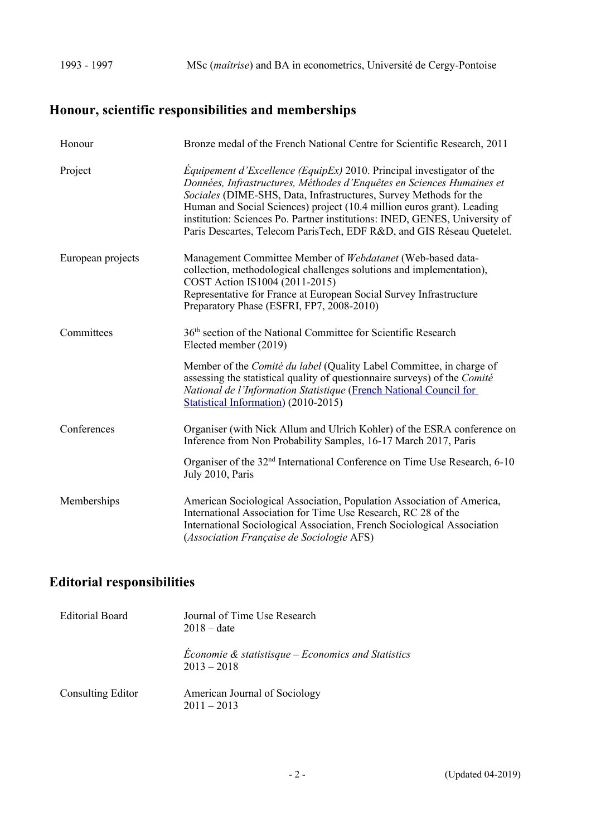# **Honour, scientific responsibilities and memberships**

| Honour            | Bronze medal of the French National Centre for Scientific Research, 2011                                                                                                                                                                                                                                                                                                                                                                                    |
|-------------------|-------------------------------------------------------------------------------------------------------------------------------------------------------------------------------------------------------------------------------------------------------------------------------------------------------------------------------------------------------------------------------------------------------------------------------------------------------------|
| Project           | <i>Equipement d'Excellence (EquipEx)</i> 2010. Principal investigator of the<br>Données, Infrastructures, Méthodes d'Enquêtes en Sciences Humaines et<br>Sociales (DIME-SHS, Data, Infrastructures, Survey Methods for the<br>Human and Social Sciences) project (10.4 million euros grant). Leading<br>institution: Sciences Po. Partner institutions: INED, GENES, University of<br>Paris Descartes, Telecom ParisTech, EDF R&D, and GIS Réseau Quetelet. |
| European projects | Management Committee Member of Webdatanet (Web-based data-<br>collection, methodological challenges solutions and implementation),<br>COST Action IS1004 (2011-2015)<br>Representative for France at European Social Survey Infrastructure<br>Preparatory Phase (ESFRI, FP7, 2008-2010)                                                                                                                                                                     |
| Committees        | 36 <sup>th</sup> section of the National Committee for Scientific Research<br>Elected member (2019)                                                                                                                                                                                                                                                                                                                                                         |
|                   | Member of the Comité du label (Quality Label Committee, in charge of<br>assessing the statistical quality of questionnaire surveys) of the Comité<br>National de l'Information Statistique (French National Council for<br>Statistical Information) (2010-2015)                                                                                                                                                                                             |
| Conferences       | Organiser (with Nick Allum and Ulrich Kohler) of the ESRA conference on<br>Inference from Non Probability Samples, 16-17 March 2017, Paris                                                                                                                                                                                                                                                                                                                  |
|                   | Organiser of the 32 <sup>nd</sup> International Conference on Time Use Research, 6-10<br>July 2010, Paris                                                                                                                                                                                                                                                                                                                                                   |
| Memberships       | American Sociological Association, Population Association of America,<br>International Association for Time Use Research, RC 28 of the<br>International Sociological Association, French Sociological Association<br>(Association Française de Sociologie AFS)                                                                                                                                                                                              |

# **Editorial responsibilities**

| Editorial Board          | Journal of Time Use Research<br>$2018 - date$                                  |
|--------------------------|--------------------------------------------------------------------------------|
|                          | <i>Economie &amp; statistisque – Economics and Statistics</i><br>$2013 - 2018$ |
| <b>Consulting Editor</b> | American Journal of Sociology<br>$2011 - 2013$                                 |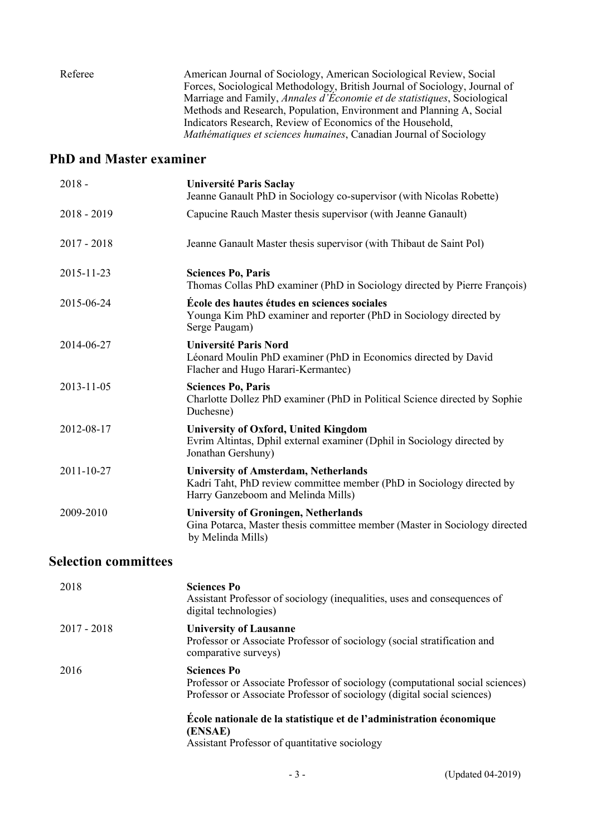Referee American Journal of Sociology, American Sociological Review, Social Forces, Sociological Methodology, British Journal of Sociology, Journal of Marriage and Family, *Annales d'Économie et de statistiques*, Sociological Methods and Research, Population, Environment and Planning A, Social Indicators Research, Review of Economics of the Household, *Mathématiques et sciences humaines*, Canadian Journal of Sociology

### **PhD and Master examiner**

| $2018 -$      | Université Paris Saclay<br>Jeanne Ganault PhD in Sociology co-supervisor (with Nicolas Robette)                                                            |
|---------------|------------------------------------------------------------------------------------------------------------------------------------------------------------|
| $2018 - 2019$ | Capucine Rauch Master thesis supervisor (with Jeanne Ganault)                                                                                              |
| $2017 - 2018$ | Jeanne Ganault Master thesis supervisor (with Thibaut de Saint Pol)                                                                                        |
| 2015-11-23    | <b>Sciences Po, Paris</b><br>Thomas Collas PhD examiner (PhD in Sociology directed by Pierre François)                                                     |
| 2015-06-24    | École des hautes études en sciences sociales<br>Younga Kim PhD examiner and reporter (PhD in Sociology directed by<br>Serge Paugam)                        |
| 2014-06-27    | <b>Université Paris Nord</b><br>Léonard Moulin PhD examiner (PhD in Economics directed by David<br>Flacher and Hugo Harari-Kermantec)                      |
| 2013-11-05    | <b>Sciences Po, Paris</b><br>Charlotte Dollez PhD examiner (PhD in Political Science directed by Sophie<br>Duchesne)                                       |
| 2012-08-17    | <b>University of Oxford, United Kingdom</b><br>Evrim Altintas, Dphil external examiner (Dphil in Sociology directed by<br>Jonathan Gershuny)               |
| 2011-10-27    | <b>University of Amsterdam, Netherlands</b><br>Kadri Taht, PhD review committee member (PhD in Sociology directed by<br>Harry Ganzeboom and Melinda Mills) |
| 2009-2010     | <b>University of Groningen, Netherlands</b><br>Gina Potarca, Master thesis committee member (Master in Sociology directed<br>by Melinda Mills)             |

## **Selection committees**

| 2018        | <b>Sciences Po</b><br>Assistant Professor of sociology (inequalities, uses and consequences of<br>digital technologies)                                                        |
|-------------|--------------------------------------------------------------------------------------------------------------------------------------------------------------------------------|
| 2017 - 2018 | <b>University of Lausanne</b><br>Professor or Associate Professor of sociology (social stratification and<br>comparative surveys)                                              |
| 2016        | <b>Sciences Po</b><br>Professor or Associate Professor of sociology (computational social sciences)<br>Professor or Associate Professor of sociology (digital social sciences) |
|             | École nationale de la statistique et de l'administration économique<br>(ENSAE)<br>Assistant Professor of quantitative sociology                                                |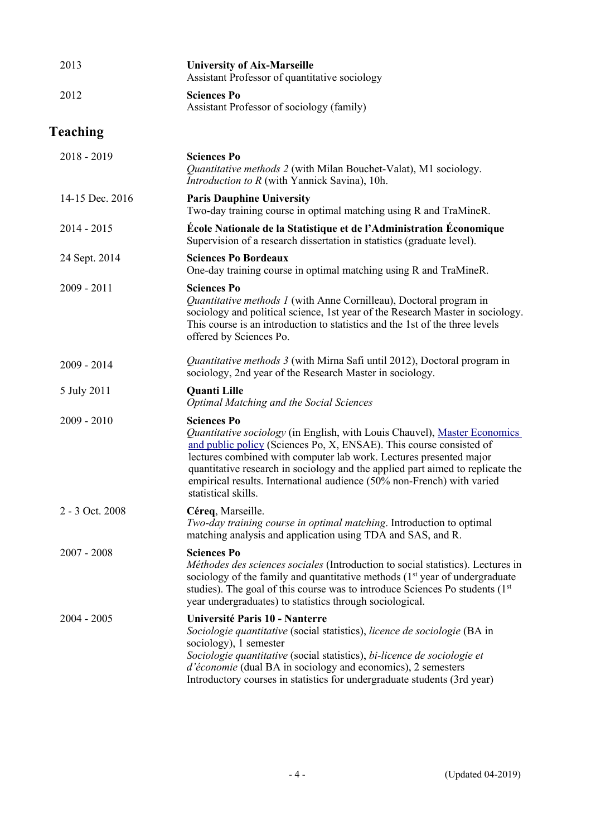| 2013            | <b>University of Aix-Marseille</b><br>Assistant Professor of quantitative sociology                                                                                                                                                                                                                                                                                                                                             |
|-----------------|---------------------------------------------------------------------------------------------------------------------------------------------------------------------------------------------------------------------------------------------------------------------------------------------------------------------------------------------------------------------------------------------------------------------------------|
| 2012            | <b>Sciences Po</b><br>Assistant Professor of sociology (family)                                                                                                                                                                                                                                                                                                                                                                 |
| <b>Teaching</b> |                                                                                                                                                                                                                                                                                                                                                                                                                                 |
| $2018 - 2019$   | <b>Sciences Po</b><br>Quantitative methods 2 (with Milan Bouchet-Valat), M1 sociology.<br><i>Introduction to R</i> (with Yannick Savina), 10h.                                                                                                                                                                                                                                                                                  |
| 14-15 Dec. 2016 | <b>Paris Dauphine University</b><br>Two-day training course in optimal matching using R and TraMineR.                                                                                                                                                                                                                                                                                                                           |
| $2014 - 2015$   | École Nationale de la Statistique et de l'Administration Économique<br>Supervision of a research dissertation in statistics (graduate level).                                                                                                                                                                                                                                                                                   |
| 24 Sept. 2014   | <b>Sciences Po Bordeaux</b><br>One-day training course in optimal matching using R and TraMineR.                                                                                                                                                                                                                                                                                                                                |
| $2009 - 2011$   | <b>Sciences Po</b><br>Quantitative methods 1 (with Anne Cornilleau), Doctoral program in<br>sociology and political science, 1st year of the Research Master in sociology.<br>This course is an introduction to statistics and the 1st of the three levels<br>offered by Sciences Po.                                                                                                                                           |
| $2009 - 2014$   | Quantitative methods 3 (with Mirna Safi until 2012), Doctoral program in<br>sociology, 2nd year of the Research Master in sociology.                                                                                                                                                                                                                                                                                            |
| 5 July 2011     | <b>Quanti Lille</b><br><b>Optimal Matching and the Social Sciences</b>                                                                                                                                                                                                                                                                                                                                                          |
| $2009 - 2010$   | <b>Sciences Po</b><br>Quantitative sociology (in English, with Louis Chauvel), Master Economics<br>and public policy (Sciences Po, X, ENSAE). This course consisted of<br>lectures combined with computer lab work. Lectures presented major<br>quantitative research in sociology and the applied part aimed to replicate the<br>empirical results. International audience (50% non-French) with varied<br>statistical skills. |
| 2 - 3 Oct. 2008 | Céreq, Marseille.<br>Two-day training course in optimal matching. Introduction to optimal<br>matching analysis and application using TDA and SAS, and R.                                                                                                                                                                                                                                                                        |
| $2007 - 2008$   | <b>Sciences Po</b><br>Méthodes des sciences sociales (Introduction to social statistics). Lectures in<br>sociology of the family and quantitative methods $(1st$ year of undergraduate<br>studies). The goal of this course was to introduce Sciences Po students (1st<br>year undergraduates) to statistics through sociological.                                                                                              |
| $2004 - 2005$   | Université Paris 10 - Nanterre<br>Sociologie quantitative (social statistics), licence de sociologie (BA in<br>sociology), 1 semester<br>Sociologie quantitative (social statistics), bi-licence de sociologie et<br>d'économie (dual BA in sociology and economics), 2 semesters<br>Introductory courses in statistics for undergraduate students (3rd year)                                                                   |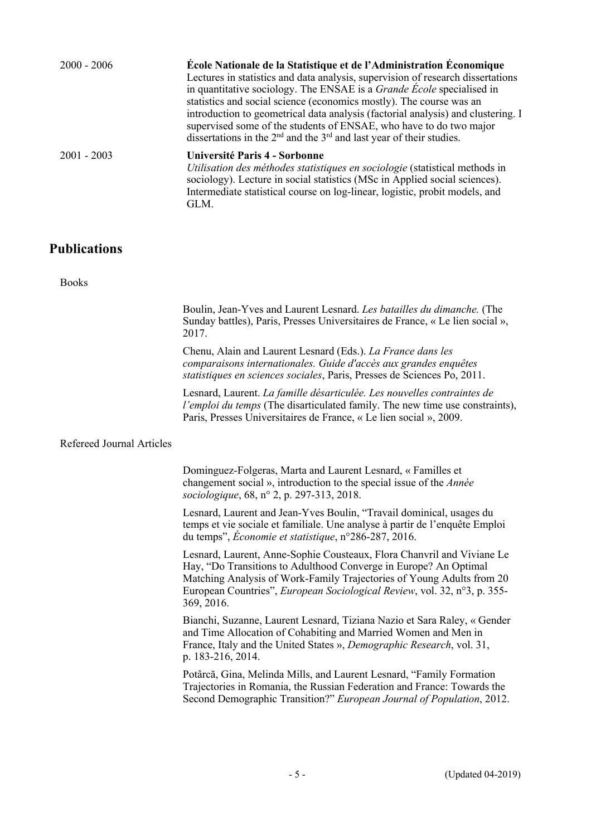| $2000 - 2006$ | École Nationale de la Statistique et de l'Administration Économique<br>Lectures in statistics and data analysis, supervision of research dissertations<br>in quantitative sociology. The ENSAE is a <i>Grande Ecole</i> specialised in<br>statistics and social science (economics mostly). The course was an<br>introduction to geometrical data analysis (factorial analysis) and clustering. I<br>supervised some of the students of ENSAE, who have to do two major<br>dissertations in the $2nd$ and the $3rd$ and last year of their studies. |
|---------------|-----------------------------------------------------------------------------------------------------------------------------------------------------------------------------------------------------------------------------------------------------------------------------------------------------------------------------------------------------------------------------------------------------------------------------------------------------------------------------------------------------------------------------------------------------|
| $2001 - 2003$ | Université Paris 4 - Sorbonne<br>Utilisation des méthodes statistiques en sociologie (statistical methods in<br>sociology). Lecture in social statistics (MSc in Applied social sciences).<br>Intermediate statistical course on log-linear, logistic, probit models, and<br>GLM.                                                                                                                                                                                                                                                                   |

#### **Publications**

Books

Boulin, Jean-Yves and Laurent Lesnard. *Les batailles du dimanche.* (The Sunday battles), Paris, Presses Universitaires de France, « Le lien social », 2017.

Chenu, Alain and Laurent Lesnard (Eds.). *La France dans les comparaisons internationales. Guide d'accès aux grandes enquêtes statistiques en sciences sociales*, Paris, Presses de Sciences Po, 2011.

Lesnard, Laurent. *La famille désarticulée. Les nouvelles contraintes de l'emploi du temps* (The disarticulated family. The new time use constraints), Paris, Presses Universitaires de France, « Le lien social », 2009.

#### Refereed Journal Articles

Dominguez-Folgeras, Marta and Laurent Lesnard, « Familles et changement social », introduction to the special issue of the *Année sociologique*, 68, n° 2, p. 297-313, 2018.

Lesnard, Laurent and Jean-Yves Boulin, "Travail dominical, usages du temps et vie sociale et familiale. Une analyse à partir de l'enquête Emploi du temps", *Économie et statistique*, n°286-287, 2016.

Lesnard, Laurent, Anne-Sophie Cousteaux, Flora Chanvril and Viviane Le Hay, "Do Transitions to Adulthood Converge in Europe? An Optimal Matching Analysis of Work-Family Trajectories of Young Adults from 20 European Countries", *European Sociological Review*, vol. 32, n°3, p. 355- 369, 2016.

Bianchi, Suzanne, Laurent Lesnard, Tiziana Nazio et Sara Raley, « Gender and Time Allocation of Cohabiting and Married Women and Men in France, Italy and the United States », *Demographic Research*, vol. 31, p. 183-216, 2014.

Potârcă, Gina, Melinda Mills, and Laurent Lesnard, "Family Formation Trajectories in Romania, the Russian Federation and France: Towards the Second Demographic Transition?" *European Journal of Population*, 2012.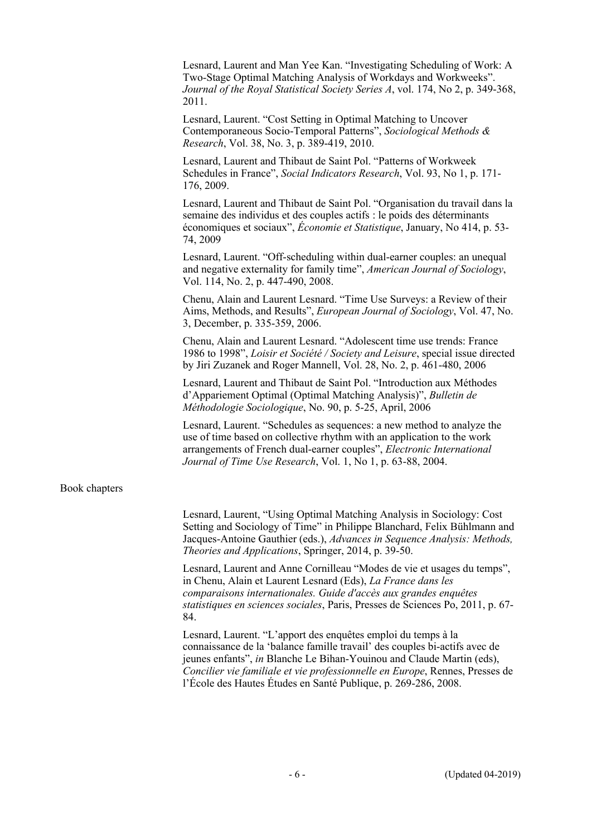Lesnard, Laurent and Man Yee Kan. "Investigating Scheduling of Work: A Two-Stage Optimal Matching Analysis of Workdays and Workweeks". *Journal of the Royal Statistical Society Series A*, vol. 174, No 2, p. 349-368, 2011.

Lesnard, Laurent. "Cost Setting in Optimal Matching to Uncover Contemporaneous Socio-Temporal Patterns", *Sociological Methods & Research*, Vol. 38, No. 3, p. 389-419, 2010.

Lesnard, Laurent and Thibaut de Saint Pol. "Patterns of Workweek Schedules in France", *Social Indicators Research*, Vol. 93, No 1, p. 171- 176, 2009.

Lesnard, Laurent and Thibaut de Saint Pol. "Organisation du travail dans la semaine des individus et des couples actifs : le poids des déterminants économiques et sociaux", *Économie et Statistique*, January, No 414, p. 53- 74, 2009

Lesnard, Laurent. "Off-scheduling within dual-earner couples: an unequal and negative externality for family time", *American Journal of Sociology*, Vol. 114, No. 2, p. 447-490, 2008.

Chenu, Alain and Laurent Lesnard. "Time Use Surveys: a Review of their Aims, Methods, and Results", *European Journal of Sociology*, Vol. 47, No. 3, December, p. 335-359, 2006.

Chenu, Alain and Laurent Lesnard. "Adolescent time use trends: France 1986 to 1998", *Loisir et Société / Society and Leisure*, special issue directed by Jiri Zuzanek and Roger Mannell, Vol. 28, No. 2, p. 461-480, 2006

Lesnard, Laurent and Thibaut de Saint Pol. "Introduction aux Méthodes d'Appariement Optimal (Optimal Matching Analysis)", *Bulletin de Méthodologie Sociologique*, No. 90, p. 5-25, April, 2006

Lesnard, Laurent. "Schedules as sequences: a new method to analyze the use of time based on collective rhythm with an application to the work arrangements of French dual-earner couples", *Electronic International Journal of Time Use Research*, Vol. 1, No 1, p. 63-88, 2004.

#### Book chapters

Lesnard, Laurent, "Using Optimal Matching Analysis in Sociology: Cost Setting and Sociology of Time" in Philippe Blanchard, Felix Bühlmann and Jacques-Antoine Gauthier (eds.), *Advances in Sequence Analysis: Methods, Theories and Applications*, Springer, 2014, p. 39-50.

Lesnard, Laurent and Anne Cornilleau "Modes de vie et usages du temps", in Chenu, Alain et Laurent Lesnard (Eds), *La France dans les comparaisons internationales. Guide d'accès aux grandes enquêtes statistiques en sciences sociales*, Paris, Presses de Sciences Po, 2011, p. 67- 84.

Lesnard, Laurent. "L'apport des enquêtes emploi du temps à la connaissance de la 'balance famille travail' des couples bi-actifs avec de jeunes enfants", *in* Blanche Le Bihan-Youinou and Claude Martin (eds), *Concilier vie familiale et vie professionnelle en Europe*, Rennes, Presses de l'École des Hautes Études en Santé Publique, p. 269-286, 2008.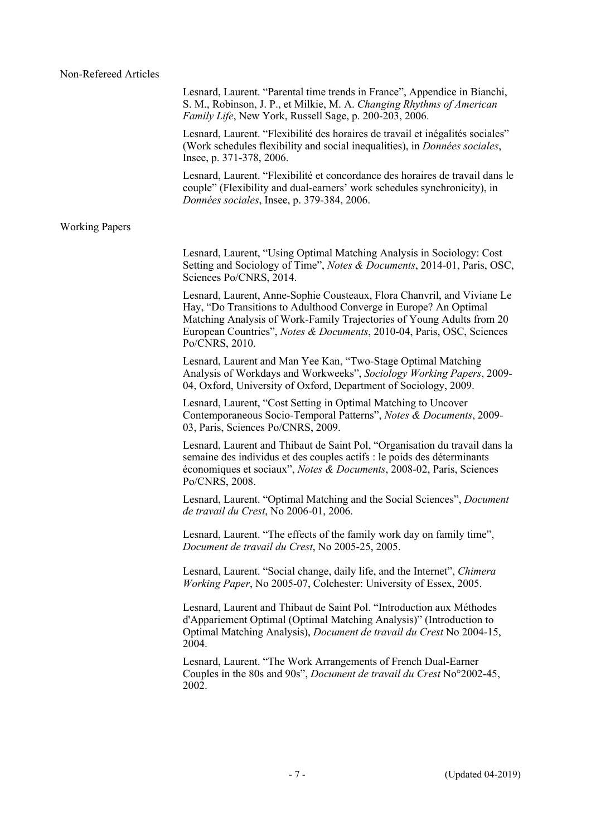|                       | Lesnard, Laurent. "Parental time trends in France", Appendice in Bianchi,<br>S. M., Robinson, J. P., et Milkie, M. A. Changing Rhythms of American<br><i>Family Life</i> , New York, Russell Sage, p. 200-203, 2006.                                                                                            |
|-----------------------|-----------------------------------------------------------------------------------------------------------------------------------------------------------------------------------------------------------------------------------------------------------------------------------------------------------------|
|                       | Lesnard, Laurent. "Flexibilité des horaires de travail et inégalités sociales"<br>(Work schedules flexibility and social inequalities), in <i>Données sociales</i> ,<br>Insee, p. 371-378, 2006.                                                                                                                |
|                       | Lesnard, Laurent. "Flexibilité et concordance des horaires de travail dans le<br>couple" (Flexibility and dual-earners' work schedules synchronicity), in<br>Données sociales, Insee, p. 379-384, 2006.                                                                                                         |
| <b>Working Papers</b> |                                                                                                                                                                                                                                                                                                                 |
|                       | Lesnard, Laurent, "Using Optimal Matching Analysis in Sociology: Cost<br>Setting and Sociology of Time", Notes & Documents, 2014-01, Paris, OSC,<br>Sciences Po/CNRS, 2014.                                                                                                                                     |
|                       | Lesnard, Laurent, Anne-Sophie Cousteaux, Flora Chanvril, and Viviane Le<br>Hay, "Do Transitions to Adulthood Converge in Europe? An Optimal<br>Matching Analysis of Work-Family Trajectories of Young Adults from 20<br>European Countries", Notes & Documents, 2010-04, Paris, OSC, Sciences<br>Po/CNRS, 2010. |
|                       | Lesnard, Laurent and Man Yee Kan, "Two-Stage Optimal Matching<br>Analysis of Workdays and Workweeks", Sociology Working Papers, 2009-<br>04, Oxford, University of Oxford, Department of Sociology, 2009.                                                                                                       |
|                       | Lesnard, Laurent, "Cost Setting in Optimal Matching to Uncover<br>Contemporaneous Socio-Temporal Patterns", Notes & Documents, 2009-<br>03, Paris, Sciences Po/CNRS, 2009.                                                                                                                                      |
|                       | Lesnard, Laurent and Thibaut de Saint Pol, "Organisation du travail dans la<br>semaine des individus et des couples actifs : le poids des déterminants<br>économiques et sociaux", Notes & Documents, 2008-02, Paris, Sciences<br>Po/CNRS, 2008.                                                                |
|                       | Lesnard, Laurent. "Optimal Matching and the Social Sciences", Document<br>de travail du Crest, No 2006-01, 2006.                                                                                                                                                                                                |
|                       | Lesnard, Laurent. "The effects of the family work day on family time",<br>Document de travail du Crest, No 2005-25, 2005.                                                                                                                                                                                       |
|                       | Lesnard, Laurent. "Social change, daily life, and the Internet", Chimera<br><i>Working Paper</i> , No 2005-07, Colchester: University of Essex, 2005.                                                                                                                                                           |
|                       | Lesnard, Laurent and Thibaut de Saint Pol. "Introduction aux Méthodes<br>d'Appariement Optimal (Optimal Matching Analysis)" (Introduction to<br>Optimal Matching Analysis), <i>Document de travail du Crest</i> No 2004-15,<br>2004.                                                                            |
|                       | Lesnard, Laurent. "The Work Arrangements of French Dual-Earner<br>Couples in the 80s and 90s", <i>Document de travail du Crest</i> No°2002-45,<br>2002.                                                                                                                                                         |
|                       |                                                                                                                                                                                                                                                                                                                 |
|                       |                                                                                                                                                                                                                                                                                                                 |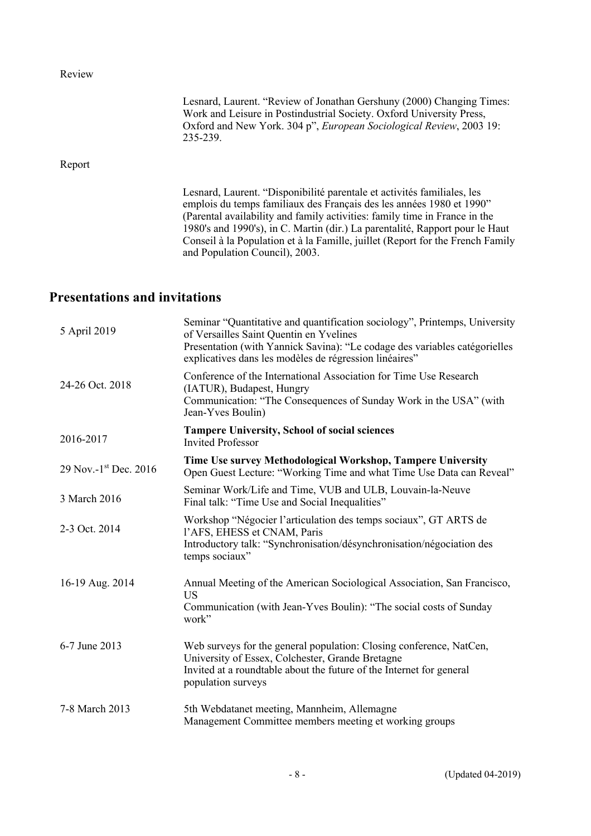Review

|        | Lesnard, Laurent. "Review of Jonathan Gershuny (2000) Changing Times:<br>Work and Leisure in Postindustrial Society. Oxford University Press,<br>Oxford and New York. 304 p", European Sociological Review, 2003 19:<br>235-239.                                                                                                                                                                                                  |
|--------|-----------------------------------------------------------------------------------------------------------------------------------------------------------------------------------------------------------------------------------------------------------------------------------------------------------------------------------------------------------------------------------------------------------------------------------|
| Report |                                                                                                                                                                                                                                                                                                                                                                                                                                   |
|        | Lesnard, Laurent. "Disponibilité parentale et activités familiales, les<br>emplois du temps familiaux des Français des les années 1980 et 1990"<br>(Parental availability and family activities: family time in France in the<br>1980's and 1990's), in C. Martin (dir.) La parentalité, Rapport pour le Haut<br>Conseil à la Population et à la Famille, juillet (Report for the French Family<br>and Population Council), 2003. |

# **Presentations and invitations**

| 5 April 2019          | Seminar "Quantitative and quantification sociology", Printemps, University<br>of Versailles Saint Quentin en Yvelines<br>Presentation (with Yannick Savina): "Le codage des variables catégorielles<br>explicatives dans les modèles de régression linéaires" |
|-----------------------|---------------------------------------------------------------------------------------------------------------------------------------------------------------------------------------------------------------------------------------------------------------|
| 24-26 Oct. 2018       | Conference of the International Association for Time Use Research<br>(IATUR), Budapest, Hungry<br>Communication: "The Consequences of Sunday Work in the USA" (with<br>Jean-Yves Boulin)                                                                      |
| 2016-2017             | <b>Tampere University, School of social sciences</b><br><b>Invited Professor</b>                                                                                                                                                                              |
| 29 Nov.-1st Dec. 2016 | Time Use survey Methodological Workshop, Tampere University<br>Open Guest Lecture: "Working Time and what Time Use Data can Reveal"                                                                                                                           |
| 3 March 2016          | Seminar Work/Life and Time, VUB and ULB, Louvain-la-Neuve<br>Final talk: "Time Use and Social Inequalities"                                                                                                                                                   |
| 2-3 Oct. 2014         | Workshop "Négocier l'articulation des temps sociaux", GT ARTS de<br>l'AFS, EHESS et CNAM, Paris<br>Introductory talk: "Synchronisation/désynchronisation/négociation des<br>temps sociaux"                                                                    |
| 16-19 Aug. 2014       | Annual Meeting of the American Sociological Association, San Francisco,<br><b>US</b><br>Communication (with Jean-Yves Boulin): "The social costs of Sunday<br>work"                                                                                           |
| 6-7 June 2013         | Web surveys for the general population: Closing conference, NatCen,<br>University of Essex, Colchester, Grande Bretagne<br>Invited at a roundtable about the future of the Internet for general<br>population surveys                                         |
| 7-8 March 2013        | 5th Webdatanet meeting, Mannheim, Allemagne<br>Management Committee members meeting et working groups                                                                                                                                                         |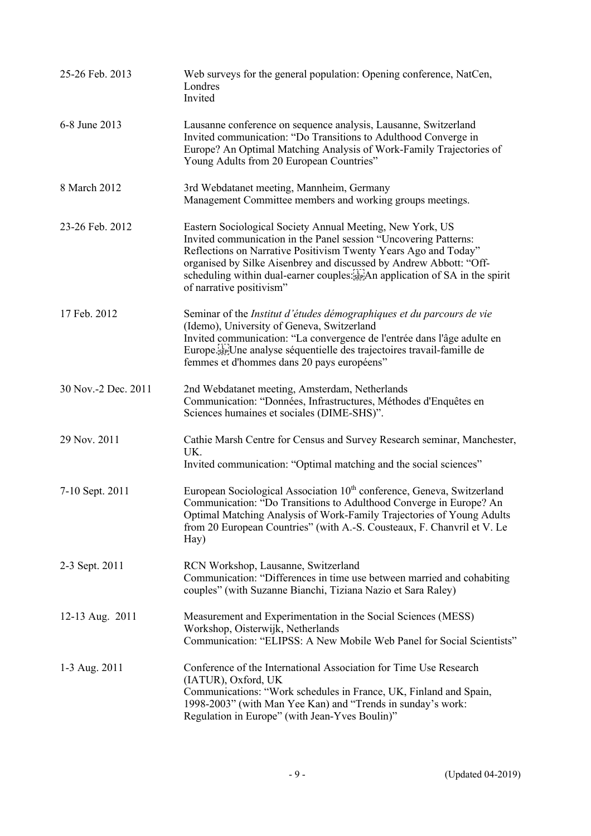| 25-26 Feb. 2013     | Web surveys for the general population: Opening conference, NatCen,<br>Londres<br>Invited                                                                                                                                                                                                                                                                                           |
|---------------------|-------------------------------------------------------------------------------------------------------------------------------------------------------------------------------------------------------------------------------------------------------------------------------------------------------------------------------------------------------------------------------------|
| 6-8 June 2013       | Lausanne conference on sequence analysis, Lausanne, Switzerland<br>Invited communication: "Do Transitions to Adulthood Converge in<br>Europe? An Optimal Matching Analysis of Work-Family Trajectories of<br>Young Adults from 20 European Countries"                                                                                                                               |
| 8 March 2012        | 3rd Webdatanet meeting, Mannheim, Germany<br>Management Committee members and working groups meetings.                                                                                                                                                                                                                                                                              |
| 23-26 Feb. 2012     | Eastern Sociological Society Annual Meeting, New York, US<br>Invited communication in the Panel session "Uncovering Patterns:<br>Reflections on Narrative Positivism Twenty Years Ago and Today"<br>organised by Silke Aisenbrey and discussed by Andrew Abbott: "Off-<br>scheduling within dual-earner couples: see An application of SA in the spirit<br>of narrative positivism" |
| 17 Feb. 2012        | Seminar of the Institut d'études démographiques et du parcours de vie<br>(Idemo), University of Geneva, Switzerland<br>Invited communication: "La convergence de l'entrée dans l'âge adulte en<br>Europe sep <sup>T</sup> Une analyse séquentielle des trajectoires travail-famille de<br>femmes et d'hommes dans 20 pays européens"                                                |
| 30 Nov.-2 Dec. 2011 | 2nd Webdatanet meeting, Amsterdam, Netherlands<br>Communication: "Données, Infrastructures, Méthodes d'Enquêtes en<br>Sciences humaines et sociales (DIME-SHS)".                                                                                                                                                                                                                    |
| 29 Nov. 2011        | Cathie Marsh Centre for Census and Survey Research seminar, Manchester,<br>UK.<br>Invited communication: "Optimal matching and the social sciences"                                                                                                                                                                                                                                 |
| 7-10 Sept. 2011     | European Sociological Association 10 <sup>th</sup> conference, Geneva, Switzerland<br>Communication: "Do Transitions to Adulthood Converge in Europe? An<br>Optimal Matching Analysis of Work-Family Trajectories of Young Adults<br>from 20 European Countries" (with A.-S. Cousteaux, F. Chanvril et V. Le<br>Hay)                                                                |
| 2-3 Sept. 2011      | RCN Workshop, Lausanne, Switzerland<br>Communication: "Differences in time use between married and cohabiting<br>couples" (with Suzanne Bianchi, Tiziana Nazio et Sara Raley)                                                                                                                                                                                                       |
| 12-13 Aug. 2011     | Measurement and Experimentation in the Social Sciences (MESS)<br>Workshop, Oisterwijk, Netherlands<br>Communication: "ELIPSS: A New Mobile Web Panel for Social Scientists"                                                                                                                                                                                                         |
| 1-3 Aug. 2011       | Conference of the International Association for Time Use Research<br>(IATUR), Oxford, UK<br>Communications: "Work schedules in France, UK, Finland and Spain,<br>1998-2003" (with Man Yee Kan) and "Trends in sunday's work:<br>Regulation in Europe" (with Jean-Yves Boulin)"                                                                                                      |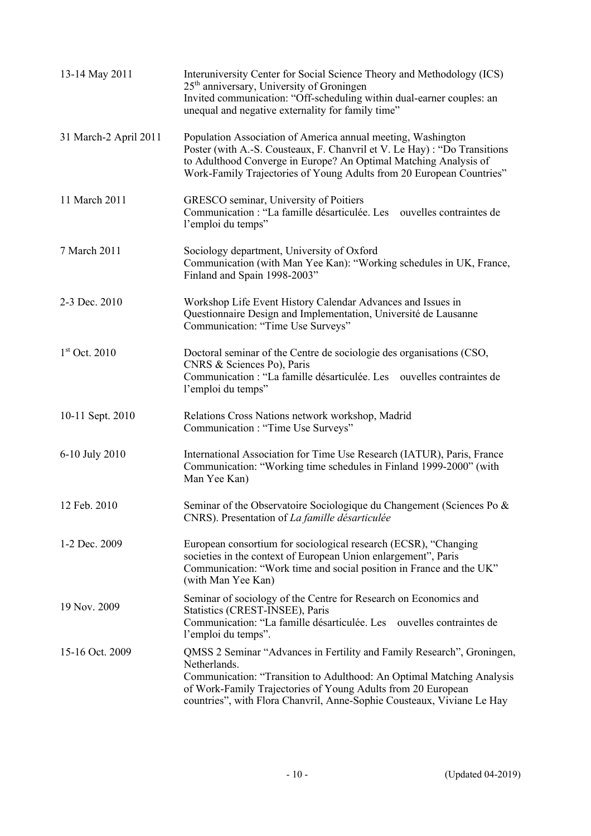| 13-14 May 2011        | Interuniversity Center for Social Science Theory and Methodology (ICS)<br>25 <sup>th</sup> anniversary, University of Groningen<br>Invited communication: "Off-scheduling within dual-earner couples: an<br>unequal and negative externality for family time"                                             |
|-----------------------|-----------------------------------------------------------------------------------------------------------------------------------------------------------------------------------------------------------------------------------------------------------------------------------------------------------|
| 31 March-2 April 2011 | Population Association of America annual meeting, Washington<br>Poster (with A.-S. Cousteaux, F. Chanvril et V. Le Hay) : "Do Transitions<br>to Adulthood Converge in Europe? An Optimal Matching Analysis of<br>Work-Family Trajectories of Young Adults from 20 European Countries"                     |
| 11 March 2011         | GRESCO seminar, University of Poitiers<br>Communication : "La famille désarticulée. Les ouvelles contraintes de<br>l'emploi du temps"                                                                                                                                                                     |
| 7 March 2011          | Sociology department, University of Oxford<br>Communication (with Man Yee Kan): "Working schedules in UK, France,<br>Finland and Spain 1998-2003"                                                                                                                                                         |
| 2-3 Dec. 2010         | Workshop Life Event History Calendar Advances and Issues in<br>Questionnaire Design and Implementation, Université de Lausanne<br>Communication: "Time Use Surveys"                                                                                                                                       |
| $1st$ Oct. 2010       | Doctoral seminar of the Centre de sociologie des organisations (CSO,<br>CNRS & Sciences Po), Paris<br>Communication : "La famille désarticulée. Les ouvelles contraintes de<br>l'emploi du temps"                                                                                                         |
| 10-11 Sept. 2010      | Relations Cross Nations network workshop, Madrid<br>Communication : "Time Use Surveys"                                                                                                                                                                                                                    |
| 6-10 July 2010        | International Association for Time Use Research (IATUR), Paris, France<br>Communication: "Working time schedules in Finland 1999-2000" (with<br>Man Yee Kan)                                                                                                                                              |
| 12 Feb. 2010          | Seminar of the Observatoire Sociologique du Changement (Sciences Po &<br>CNRS). Presentation of La famille désarticulée                                                                                                                                                                                   |
| 1-2 Dec. 2009         | European consortium for sociological research (ECSR), "Changing<br>societies in the context of European Union enlargement", Paris<br>Communication: "Work time and social position in France and the UK"<br>(with Man Yee Kan)                                                                            |
| 19 Nov. 2009          | Seminar of sociology of the Centre for Research on Economics and<br>Statistics (CREST-INSEE), Paris<br>Communication: "La famille désarticulée. Les ouvelles contraintes de<br>l'emploi du temps".                                                                                                        |
| 15-16 Oct. 2009       | QMSS 2 Seminar "Advances in Fertility and Family Research", Groningen,<br>Netherlands.<br>Communication: "Transition to Adulthood: An Optimal Matching Analysis<br>of Work-Family Trajectories of Young Adults from 20 European<br>countries", with Flora Chanvril, Anne-Sophie Cousteaux, Viviane Le Hay |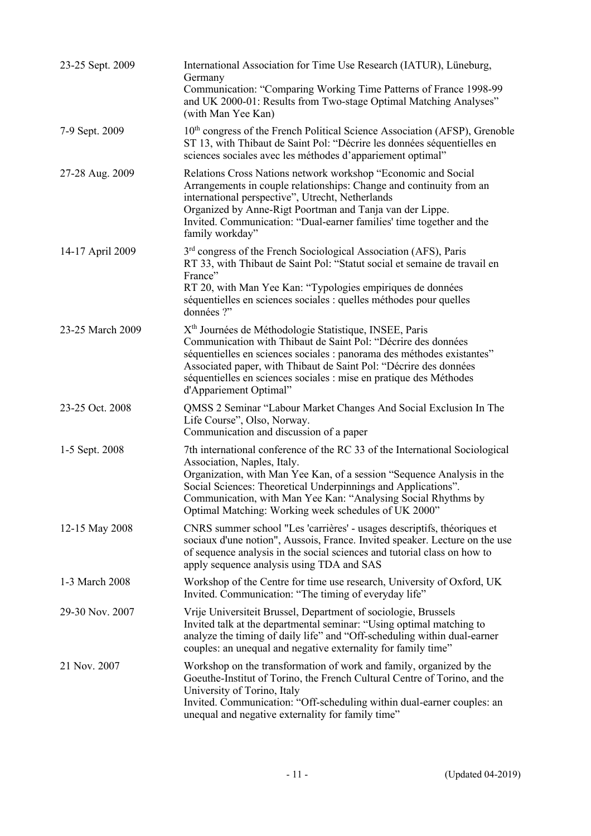| 23-25 Sept. 2009 | International Association for Time Use Research (IATUR), Lüneburg,<br>Germany<br>Communication: "Comparing Working Time Patterns of France 1998-99<br>and UK 2000-01: Results from Two-stage Optimal Matching Analyses"<br>(with Man Yee Kan)                                                                                                                                      |
|------------------|------------------------------------------------------------------------------------------------------------------------------------------------------------------------------------------------------------------------------------------------------------------------------------------------------------------------------------------------------------------------------------|
| 7-9 Sept. 2009   | 10 <sup>th</sup> congress of the French Political Science Association (AFSP), Grenoble<br>ST 13, with Thibaut de Saint Pol: "Décrire les données séquentielles en<br>sciences sociales avec les méthodes d'appariement optimal"                                                                                                                                                    |
| 27-28 Aug. 2009  | Relations Cross Nations network workshop "Economic and Social<br>Arrangements in couple relationships: Change and continuity from an<br>international perspective", Utrecht, Netherlands<br>Organized by Anne-Rigt Poortman and Tanja van der Lippe.<br>Invited. Communication: "Dual-earner families' time together and the<br>family workday"                                    |
| 14-17 April 2009 | $3rd$ congress of the French Sociological Association (AFS), Paris<br>RT 33, with Thibaut de Saint Pol: "Statut social et semaine de travail en<br>France"<br>RT 20, with Man Yee Kan: "Typologies empiriques de données<br>séquentielles en sciences sociales : quelles méthodes pour quelles<br>données ?"                                                                       |
| 23-25 March 2009 | X <sup>th</sup> Journées de Méthodologie Statistique, INSEE, Paris<br>Communication with Thibaut de Saint Pol: "Décrire des données<br>séquentielles en sciences sociales : panorama des méthodes existantes"<br>Associated paper, with Thibaut de Saint Pol: "Décrire des données<br>séquentielles en sciences sociales : mise en pratique des Méthodes<br>d'Appariement Optimal" |
| 23-25 Oct. 2008  | QMSS 2 Seminar "Labour Market Changes And Social Exclusion In The<br>Life Course", Olso, Norway.<br>Communication and discussion of a paper                                                                                                                                                                                                                                        |
| 1-5 Sept. 2008   | 7th international conference of the RC 33 of the International Sociological<br>Association, Naples, Italy.<br>Organization, with Man Yee Kan, of a session "Sequence Analysis in the<br>Social Sciences: Theoretical Underpinnings and Applications".<br>Communication, with Man Yee Kan: "Analysing Social Rhythms by<br>Optimal Matching: Working week schedules of UK 2000"     |
| 12-15 May 2008   | CNRS summer school "Les 'carrières' - usages descriptifs, théoriques et<br>sociaux d'une notion", Aussois, France. Invited speaker. Lecture on the use<br>of sequence analysis in the social sciences and tutorial class on how to<br>apply sequence analysis using TDA and SAS                                                                                                    |
| 1-3 March 2008   | Workshop of the Centre for time use research, University of Oxford, UK<br>Invited. Communication: "The timing of everyday life"                                                                                                                                                                                                                                                    |
| 29-30 Nov. 2007  | Vrije Universiteit Brussel, Department of sociologie, Brussels<br>Invited talk at the departmental seminar: "Using optimal matching to<br>analyze the timing of daily life" and "Off-scheduling within dual-earner<br>couples: an unequal and negative externality for family time"                                                                                                |
| 21 Nov. 2007     | Workshop on the transformation of work and family, organized by the<br>Goeuthe-Institut of Torino, the French Cultural Centre of Torino, and the<br>University of Torino, Italy<br>Invited. Communication: "Off-scheduling within dual-earner couples: an<br>unequal and negative externality for family time"                                                                     |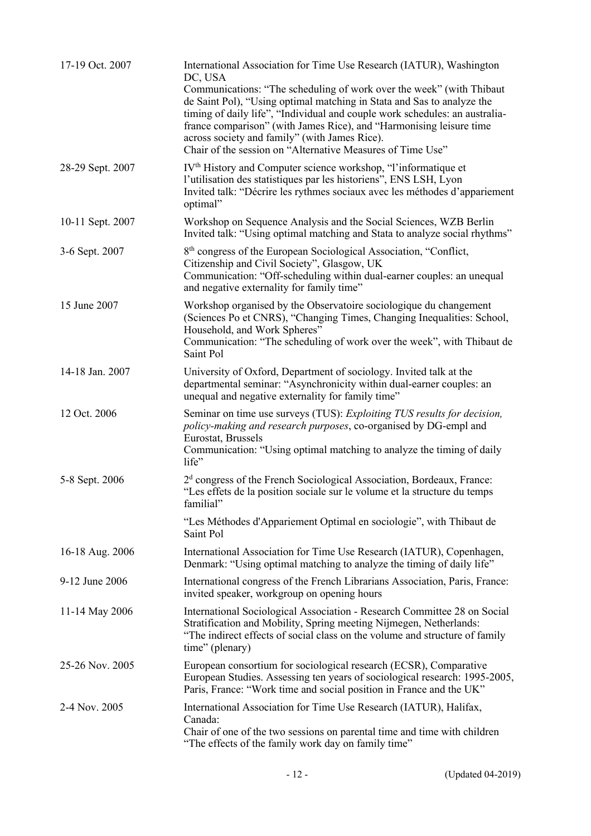| 17-19 Oct. 2007  | International Association for Time Use Research (IATUR), Washington<br>DC, USA<br>Communications: "The scheduling of work over the week" (with Thibaut<br>de Saint Pol), "Using optimal matching in Stata and Sas to analyze the<br>timing of daily life", "Individual and couple work schedules: an australia-<br>france comparison" (with James Rice), and "Harmonising leisure time<br>across society and family" (with James Rice).<br>Chair of the session on "Alternative Measures of Time Use" |
|------------------|-------------------------------------------------------------------------------------------------------------------------------------------------------------------------------------------------------------------------------------------------------------------------------------------------------------------------------------------------------------------------------------------------------------------------------------------------------------------------------------------------------|
| 28-29 Sept. 2007 | IV <sup>th</sup> History and Computer science workshop, "l'informatique et<br>l'utilisation des statistiques par les historiens", ENS LSH, Lyon<br>Invited talk: "Décrire les rythmes sociaux avec les méthodes d'appariement<br>optimal"                                                                                                                                                                                                                                                             |
| 10-11 Sept. 2007 | Workshop on Sequence Analysis and the Social Sciences, WZB Berlin<br>Invited talk: "Using optimal matching and Stata to analyze social rhythms"                                                                                                                                                                                                                                                                                                                                                       |
| 3-6 Sept. 2007   | 8 <sup>th</sup> congress of the European Sociological Association, "Conflict,<br>Citizenship and Civil Society", Glasgow, UK<br>Communication: "Off-scheduling within dual-earner couples: an unequal<br>and negative externality for family time"                                                                                                                                                                                                                                                    |
| 15 June 2007     | Workshop organised by the Observatoire sociologique du changement<br>(Sciences Po et CNRS), "Changing Times, Changing Inequalities: School,<br>Household, and Work Spheres"<br>Communication: "The scheduling of work over the week", with Thibaut de<br>Saint Pol                                                                                                                                                                                                                                    |
| 14-18 Jan. 2007  | University of Oxford, Department of sociology. Invited talk at the<br>departmental seminar: "Asynchronicity within dual-earner couples: an<br>unequal and negative externality for family time"                                                                                                                                                                                                                                                                                                       |
| 12 Oct. 2006     | Seminar on time use surveys (TUS): Exploiting TUS results for decision,<br>policy-making and research purposes, co-organised by DG-empl and<br>Eurostat, Brussels<br>Communication: "Using optimal matching to analyze the timing of daily<br>life"                                                                                                                                                                                                                                                   |
| 5-8 Sept. 2006   | $2d$ congress of the French Sociological Association, Bordeaux, France:<br>"Les effets de la position sociale sur le volume et la structure du temps<br>familial"                                                                                                                                                                                                                                                                                                                                     |
|                  | "Les Méthodes d'Appariement Optimal en sociologie", with Thibaut de<br>Saint Pol                                                                                                                                                                                                                                                                                                                                                                                                                      |
| 16-18 Aug. 2006  | International Association for Time Use Research (IATUR), Copenhagen,<br>Denmark: "Using optimal matching to analyze the timing of daily life"                                                                                                                                                                                                                                                                                                                                                         |
| 9-12 June 2006   | International congress of the French Librarians Association, Paris, France:<br>invited speaker, workgroup on opening hours                                                                                                                                                                                                                                                                                                                                                                            |
| 11-14 May 2006   | International Sociological Association - Research Committee 28 on Social<br>Stratification and Mobility, Spring meeting Nijmegen, Netherlands:<br>"The indirect effects of social class on the volume and structure of family<br>time" (plenary)                                                                                                                                                                                                                                                      |
| 25-26 Nov. 2005  | European consortium for sociological research (ECSR), Comparative<br>European Studies. Assessing ten years of sociological research: 1995-2005,<br>Paris, France: "Work time and social position in France and the UK"                                                                                                                                                                                                                                                                                |
| 2-4 Nov. 2005    | International Association for Time Use Research (IATUR), Halifax,<br>Canada:<br>Chair of one of the two sessions on parental time and time with children<br>"The effects of the family work day on family time"                                                                                                                                                                                                                                                                                       |